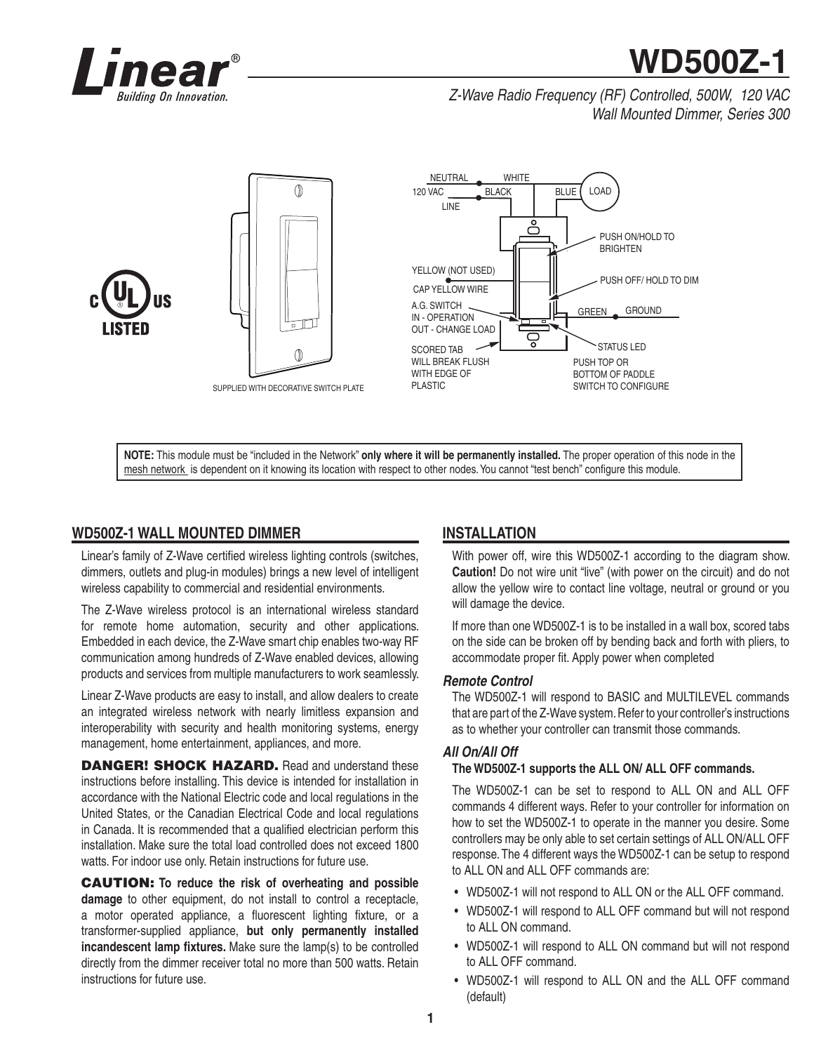

# **WD500Z-1**

# *Z-Wave Radio Frequency (RF) Controlled, 500W, 120 VAC Wall Mounted Dimmer, Series 300*



**NOTE:** This module must be "included in the Network" **only where it will be permanently installed.** The proper operation of this node in the mesh network is dependent on it knowing its location with respect to other nodes. You cannot "test bench" configure this module.

# **WD500Z-1 WALL MOUNTED DIMMER**

Linear's family of Z-Wave certified wireless lighting controls (switches, dimmers, outlets and plug-in modules) brings a new level of intelligent wireless capability to commercial and residential environments.

The Z-Wave wireless protocol is an international wireless standard for remote home automation, security and other applications. Embedded in each device, the Z-Wave smart chip enables two-way RF communication among hundreds of Z-Wave enabled devices, allowing products and services from multiple manufacturers to work seamlessly.

Linear Z-Wave products are easy to install, and allow dealers to create an integrated wireless network with nearly limitless expansion and interoperability with security and health monitoring systems, energy management, home entertainment, appliances, and more.

**DANGER! SHOCK HAZARD.** Read and understand these instructions before installing. This device is intended for installation in accordance with the National Electric code and local regulations in the United States, or the Canadian Electrical Code and local regulations in Canada. It is recommended that a qualified electrician perform this installation. Make sure the total load controlled does not exceed 1800 watts. For indoor use only. Retain instructions for future use.

**CAUTION: To reduce the risk of overheating and possible damage** to other equipment, do not install to control a receptacle, a motor operated appliance, a fluorescent lighting fixture, or a transformer-supplied appliance, **but only permanently installed incandescent lamp fixtures.** Make sure the lamp(s) to be controlled directly from the dimmer receiver total no more than 500 watts. Retain instructions for future use.

# **INSTALLATION**

With power off, wire this WD500Z-1 according to the diagram show. **Caution!** Do not wire unit "live" (with power on the circuit) and do not allow the yellow wire to contact line voltage, neutral or ground or you will damage the device.

If more than one WD500Z-1 is to be installed in a wall box, scored tabs on the side can be broken off by bending back and forth with pliers, to accommodate proper fit. Apply power when completed

## *Remote Control*

The WD500Z-1 will respond to BASIC and MULTILEVEL commands that are part of the Z-Wave system. Refer to your controller's instructions as to whether your controller can transmit those commands.

## *All On/All Off*

## **The WD500Z-1 supports the ALL ON/ ALL OFF commands.**

The WD500Z-1 can be set to respond to ALL ON and ALL OFF commands 4 different ways. Refer to your controller for information on how to set the WD500Z-1 to operate in the manner you desire. Some controllers may be only able to set certain settings of ALL ON/ALL OFF response. The 4 different ways the WD500Z-1 can be setup to respond to ALL ON and ALL OFF commands are:

- WD500Z-1 will not respond to ALL ON or the ALL OFF command.
- WD500Z-1 will respond to ALL OFF command but will not respond to ALL ON command.
- WD500Z-1 will respond to ALL ON command but will not respond to ALL OFF command.
- WD500Z-1 will respond to ALL ON and the ALL OFF command (default)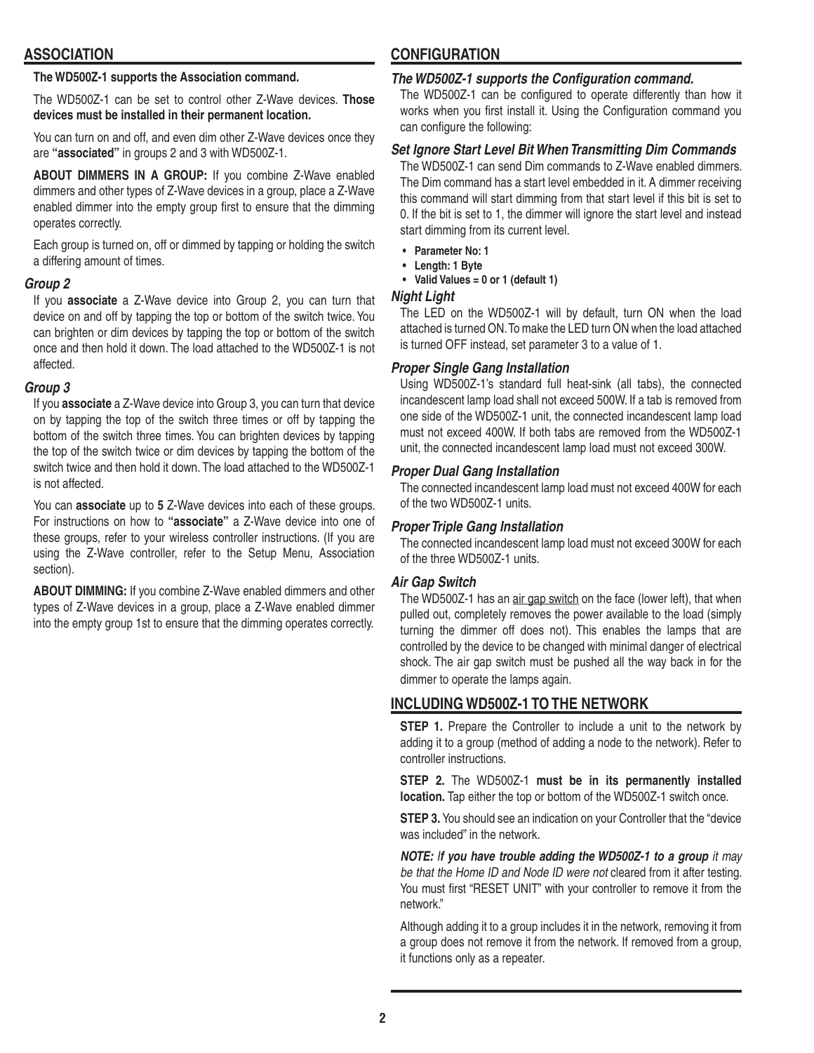## **ASSOCIATION**

## **The WD500Z-1 supports the Association command.**

The WD500Z-1 can be set to control other Z-Wave devices. **Those devices must be installed in their permanent location.**

You can turn on and off, and even dim other Z-Wave devices once they are **"associated"** in groups 2 and 3 with WD500Z-1.

**ABOUT DIMMERS IN A GROUP:** If you combine Z-Wave enabled dimmers and other types of Z-Wave devices in a group, place a Z-Wave enabled dimmer into the empty group first to ensure that the dimming operates correctly.

Each group is turned on, off or dimmed by tapping or holding the switch a differing amount of times.

## *Group 2*

If you **associate** a Z-Wave device into Group 2, you can turn that device on and off by tapping the top or bottom of the switch twice. You can brighten or dim devices by tapping the top or bottom of the switch once and then hold it down. The load attached to the WD500Z-1 is not affected.

## *Group 3*

If you **associate** a Z-Wave device into Group 3, you can turn that device on by tapping the top of the switch three times or off by tapping the bottom of the switch three times. You can brighten devices by tapping the top of the switch twice or dim devices by tapping the bottom of the switch twice and then hold it down. The load attached to the WD500Z-1 is not affected.

You can **associate** up to **5** Z-Wave devices into each of these groups. For instructions on how to **"associate"** a Z-Wave device into one of these groups, refer to your wireless controller instructions. (If you are using the Z-Wave controller, refer to the Setup Menu, Association section).

**ABOUT DIMMING:** If you combine Z-Wave enabled dimmers and other types of Z-Wave devices in a group, place a Z-Wave enabled dimmer into the empty group 1st to ensure that the dimming operates correctly.

# **CONFIGURATION**

## *The WD500Z-1 supports the Configuration command.*

The WD500Z-1 can be configured to operate differently than how it works when you first install it. Using the Configuration command you can configure the following:

## *Set Ignore Start Level Bit When Transmitting Dim Commands*

The WD500Z-1 can send Dim commands to Z-Wave enabled dimmers. The Dim command has a start level embedded in it. A dimmer receiving this command will start dimming from that start level if this bit is set to 0. If the bit is set to 1, the dimmer will ignore the start level and instead start dimming from its current level.

- **Parameter No: 1**
- **Length: 1 Byte**
- **Valid Values = 0 or 1 (default 1)**

## *Night Light*

The LED on the WD500Z-1 will by default, turn ON when the load attached is turned ON. To make the LED turn ON when the load attached is turned OFF instead, set parameter 3 to a value of 1.

## *Proper Single Gang Installation*

Using WD500Z-1's standard full heat-sink (all tabs), the connected incandescent lamp load shall not exceed 500W. If a tab is removed from one side of the WD500Z-1 unit, the connected incandescent lamp load must not exceed 400W. If both tabs are removed from the WD500Z-1 unit, the connected incandescent lamp load must not exceed 300W.

## *Proper Dual Gang Installation*

The connected incandescent lamp load must not exceed 400W for each of the two WD500Z-1 units.

## *Proper Triple Gang Installation*

The connected incandescent lamp load must not exceed 300W for each of the three WD500Z-1 units.

## *Air Gap Switch*

The WD500Z-1 has an air gap switch on the face (lower left), that when pulled out, completely removes the power available to the load (simply turning the dimmer off does not). This enables the lamps that are controlled by the device to be changed with minimal danger of electrical shock. The air gap switch must be pushed all the way back in for the dimmer to operate the lamps again.

# **INCLUDING WD500Z-1 TO THE NETWORK**

**STEP 1.** Prepare the Controller to include a unit to the network by adding it to a group (method of adding a node to the network). Refer to controller instructions.

**STEP 2.** The WD500Z-1 **must be in its permanently installed location.** Tap either the top or bottom of the WD500Z-1 switch once.

**STEP 3.** You should see an indication on your Controller that the "device" was included" in the network.

*NOTE: If you have trouble adding the WD500Z-1 to a group it may be that the Home ID and Node ID were not* cleared from it after testing. You must first "RESET UNIT" with your controller to remove it from the network."

Although adding it to a group includes it in the network, removing it from a group does not remove it from the network. If removed from a group, it functions only as a repeater.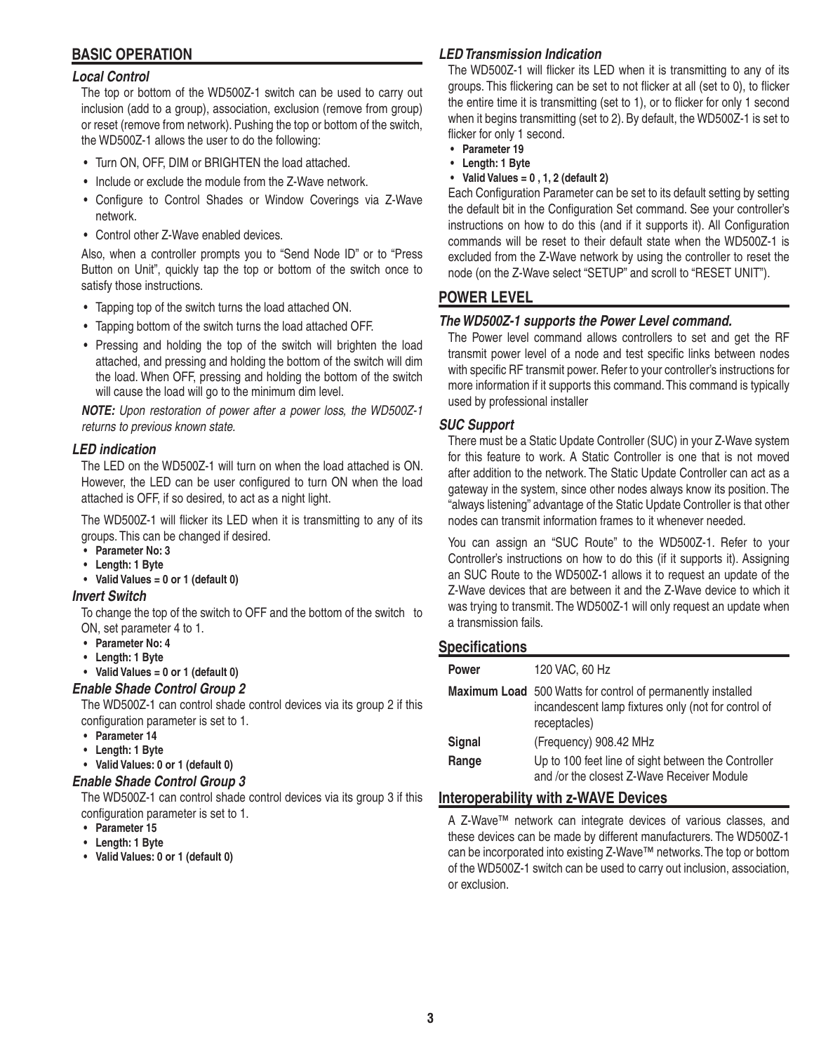# **BASIC OPERATION**

## *Local Control*

The top or bottom of the WD500Z-1 switch can be used to carry out inclusion (add to a group), association, exclusion (remove from group) or reset (remove from network). Pushing the top or bottom of the switch, the WD500Z-1 allows the user to do the following:

- Turn ON, OFF, DIM or BRIGHTEN the load attached.
- Include or exclude the module from the Z-Wave network.
- Configure to Control Shades or Window Coverings via Z-Wave network.
- Control other Z-Wave enabled devices.

Also, when a controller prompts you to "Send Node ID" or to "Press Button on Unit", quickly tap the top or bottom of the switch once to satisfy those instructions.

- Tapping top of the switch turns the load attached ON.
- Tapping bottom of the switch turns the load attached OFF.
- Pressing and holding the top of the switch will brighten the load attached, and pressing and holding the bottom of the switch will dim the load. When OFF, pressing and holding the bottom of the switch will cause the load will go to the minimum dim level.

*NOTE: Upon restoration of power after a power loss, the WD500Z-1 returns to previous known state.*

## *LED indication*

The LED on the WD500Z-1 will turn on when the load attached is ON. However, the LED can be user configured to turn ON when the load attached is OFF, if so desired, to act as a night light.

The WD500Z-1 will flicker its LED when it is transmitting to any of its groups. This can be changed if desired.

- **Parameter No: 3**
- **Length: 1 Byte**
- **Valid Values = 0 or 1 (default 0)**

## *Invert Switch*

To change the top of the switch to OFF and the bottom of the switch to ON, set parameter 4 to 1.

- **Parameter No: 4**
- **Length: 1 Byte**
- **Valid Values = 0 or 1 (default 0)**

## *Enable Shade Control Group 2*

The WD500Z-1 can control shade control devices via its group 2 if this configuration parameter is set to 1.

- **Parameter 14**
- **Length: 1 Byte**

# **• Valid Values: 0 or 1 (default 0)**

# *Enable Shade Control Group 3*

The WD500Z-1 can control shade control devices via its group 3 if this configuration parameter is set to 1.

- **Parameter 15**
- **Length: 1 Byte**
- **Valid Values: 0 or 1 (default 0)**

## *LED Transmission Indication*

The WD500Z-1 will flicker its LED when it is transmitting to any of its groups. This flickering can be set to not flicker at all (set to 0), to flicker the entire time it is transmitting (set to 1), or to flicker for only 1 second when it begins transmitting (set to 2). By default, the WD500Z-1 is set to flicker for only 1 second.

- **Parameter 19**
- **Length: 1 Byte**
- **Valid Values = 0 , 1, 2 (default 2)**

Each Configuration Parameter can be set to its default setting by setting the default bit in the Configuration Set command. See your controller's instructions on how to do this (and if it supports it). All Configuration commands will be reset to their default state when the WD500Z-1 is excluded from the Z-Wave network by using the controller to reset the node (on the Z-Wave select "SETUP" and scroll to "RESET UNIT").

## **POWER LEVEL**

## *The WD500Z-1 supports the Power Level command.*

The Power level command allows controllers to set and get the RF transmit power level of a node and test specific links between nodes with specific RF transmit power. Refer to your controller's instructions for more information if it supports this command. This command is typically used by professional installer

## *SUC Support*

There must be a Static Update Controller (SUC) in your Z-Wave system for this feature to work. A Static Controller is one that is not moved after addition to the network. The Static Update Controller can act as a gateway in the system, since other nodes always know its position. The "always listening" advantage of the Static Update Controller is that other nodes can transmit information frames to it whenever needed.

You can assign an "SUC Route" to the WD500Z-1. Refer to your Controller's instructions on how to do this (if it supports it). Assigning an SUC Route to the WD500Z-1 allows it to request an update of the Z-Wave devices that are between it and the Z-Wave device to which it was trying to transmit. The WD500Z-1 will only request an update when a transmission fails.

## **Specifi cations**

| <b>Power</b>  | 120 VAC, 60 Hz                                                                                                                     |
|---------------|------------------------------------------------------------------------------------------------------------------------------------|
|               | Maximum Load 500 Watts for control of permanently installed<br>incandescent lamp fixtures only (not for control of<br>receptacles) |
| <b>Signal</b> | (Frequency) 908.42 MHz                                                                                                             |
| Range         | Up to 100 feet line of sight between the Controller<br>and /or the closest Z-Wave Receiver Module                                  |

## **Interoperability with z-WAVE Devices**

A Z-Wave™ network can integrate devices of various classes, and these devices can be made by different manufacturers. The WD500Z-1 can be incorporated into existing Z-Wave™ networks. The top or bottom of the WD500Z-1 switch can be used to carry out inclusion, association, or exclusion.